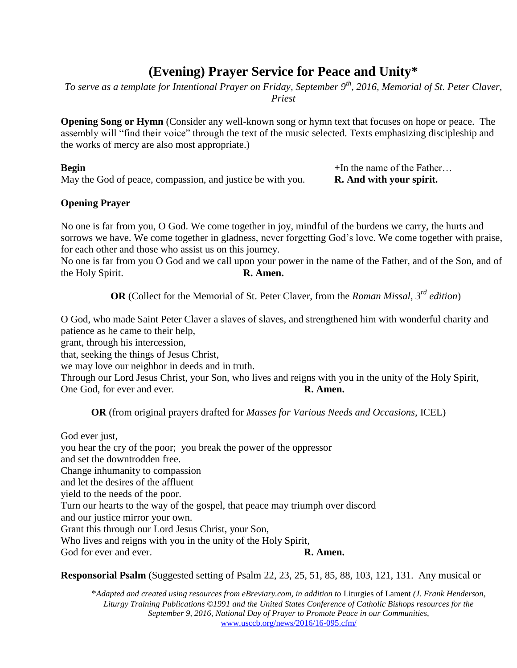# **(Evening) Prayer Service for Peace and Unity\***

*To serve as a template for Intentional Prayer on Friday, September 9th, 2016, Memorial of St. Peter Claver, Priest*

**Opening Song or Hymn** (Consider any well-known song or hymn text that focuses on hope or peace. The assembly will "find their voice" through the text of the music selected. Texts emphasizing discipleship and the works of mercy are also most appropriate.)

**Begin** + In the name of the Father… May the God of peace, compassion, and justice be with you. **R. And with your spirit.**

### **Opening Prayer**

No one is far from you, O God. We come together in joy, mindful of the burdens we carry, the hurts and sorrows we have. We come together in gladness, never forgetting God's love. We come together with praise, for each other and those who assist us on this journey.

No one is far from you O God and we call upon your power in the name of the Father, and of the Son, and of the Holy Spirit. **R. Amen.**

**OR** (Collect for the Memorial of St. Peter Claver, from the *Roman Missal, 3rd edition*)

O God, who made Saint Peter Claver a slaves of slaves, and strengthened him with wonderful charity and patience as he came to their help,

grant, through his intercession,

that, seeking the things of Jesus Christ,

we may love our neighbor in deeds and in truth.

Through our Lord Jesus Christ, your Son, who lives and reigns with you in the unity of the Holy Spirit, One God, for ever and ever. **R. Amen.** 

**OR** (from original prayers drafted for *Masses for Various Needs and Occasions,* ICEL)

God ever just, you hear the cry of the poor; you break the power of the oppressor and set the downtrodden free. Change inhumanity to compassion and let the desires of the affluent yield to the needs of the poor. Turn our hearts to the way of the gospel, that peace may triumph over discord and our justice mirror your own. Grant this through our Lord Jesus Christ, your Son, Who lives and reigns with you in the unity of the Holy Spirit, God for ever and ever. **R. Amen.** 

**Responsorial Psalm** (Suggested setting of Psalm 22, 23, 25, 51, 85, 88, 103, 121, 131. Any musical or

\**Adapted and created using resources from eBreviary.com, in addition to* Liturgies of Lament *(J. Frank Henderson, Liturgy Training Publications ©1991 and the United States Conference of Catholic Bishops resources for the September 9, 2016, National Day of Prayer to Promote Peace in our Communities,*  [www.usccb.org/news/2016/16-095.cfm/](http://www.usccb.org/news/2016/16-095.cfm/)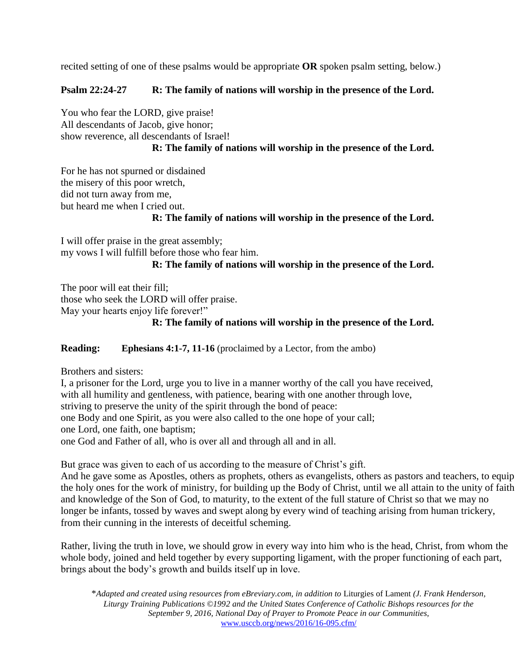recited setting of one of these psalms would be appropriate **OR** spoken psalm setting, below.)

## **Psalm 22:24-27 R: The family of nations will worship in the presence of the Lord.**

You who fear the LORD, give praise! All descendants of Jacob, give honor; show reverence, all descendants of Israel! **R: The family of nations will worship in the presence of the Lord.**

For he has not spurned or disdained the misery of this poor wretch, did not turn away from me, but heard me when I cried out.

#### **R: The family of nations will worship in the presence of the Lord.**

I will offer praise in the great assembly; my vows I will fulfill before those who fear him.

**R: The family of nations will worship in the presence of the Lord.**

The poor will eat their fill; those who seek the LORD will offer praise. May your hearts enjoy life forever!"

### **R: The family of nations will worship in the presence of the Lord.**

**Reading: Ephesians 4:1-7, 11-16** (proclaimed by a Lector, from the ambo)

Brothers and sisters:

I, a prisoner for the Lord, urge you to live in a manner worthy of the call you have received, with all humility and gentleness, with patience, bearing with one another through love, striving to preserve the unity of the spirit through the bond of peace: one Body and one Spirit, as you were also called to the one hope of your call; one Lord, one faith, one baptism; one God and Father of all, who is over all and through all and in all.

But grace was given to each of us according to the measure of Christ's gift.

And he gave some as Apostles, others as prophets, others as evangelists, others as pastors and teachers, to equip the holy ones for the work of ministry, for building up the Body of Christ, until we all attain to the unity of faith and knowledge of the Son of God, to maturity, to the extent of the full stature of Christ so that we may no longer be infants, tossed by waves and swept along by every wind of teaching arising from human trickery, from their cunning in the interests of deceitful scheming.

Rather, living the truth in love, we should grow in every way into him who is the head, Christ, from whom the whole body, joined and held together by every supporting ligament, with the proper functioning of each part, brings about the body's growth and builds itself up in love.

\**Adapted and created using resources from eBreviary.com, in addition to* Liturgies of Lament *(J. Frank Henderson, Liturgy Training Publications ©1992 and the United States Conference of Catholic Bishops resources for the September 9, 2016, National Day of Prayer to Promote Peace in our Communities,*  [www.usccb.org/news/2016/16-095.cfm/](http://www.usccb.org/news/2016/16-095.cfm/)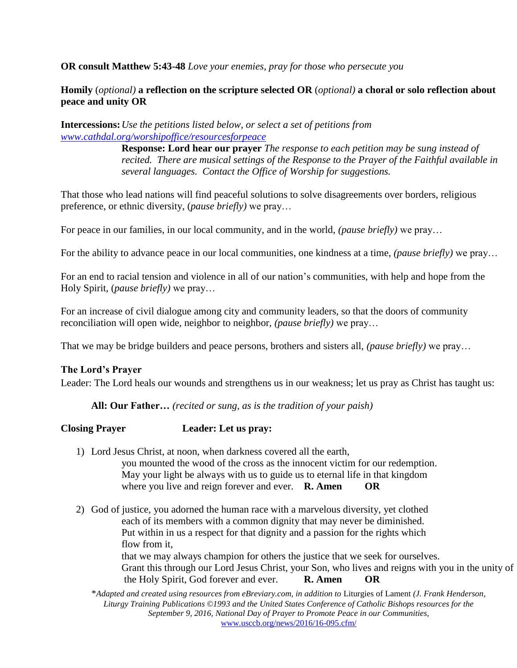**OR consult Matthew 5:43-48** *Love your enemies, pray for those who persecute you*

### **Homily** (*optional)* **a reflection on the scripture selected OR** (*optional)* **a choral or solo reflection about peace and unity OR**

**Intercessions:***Use the petitions listed below, or select a set of petitions from [www.cathdal.org/worshipoffice/resourcesforpeace](http://www.cathdal.org/worshipoffice/resourcesforpeace)*

> **Response: Lord hear our prayer** *The response to each petition may be sung instead of recited. There are musical settings of the Response to the Prayer of the Faithful available in several languages. Contact the Office of Worship for suggestions.*

That those who lead nations will find peaceful solutions to solve disagreements over borders, religious preference, or ethnic diversity, (*pause briefly)* we pray…

For peace in our families, in our local community, and in the world, *(pause briefly)* we pray…

For the ability to advance peace in our local communities, one kindness at a time, *(pause briefly)* we pray…

For an end to racial tension and violence in all of our nation's communities, with help and hope from the Holy Spirit, (*pause briefly)* we pray…

For an increase of civil dialogue among city and community leaders, so that the doors of community reconciliation will open wide, neighbor to neighbor, *(pause briefly)* we pray…

That we may be bridge builders and peace persons, brothers and sisters all, *(pause briefly)* we pray…

#### **The Lord's Prayer**

Leader: The Lord heals our wounds and strengthens us in our weakness; let us pray as Christ has taught us:

**All: Our Father…** *(recited or sung, as is the tradition of your paish)*

#### **Closing Prayer Leader: Let us pray:**

- 1) Lord Jesus Christ, at noon, when darkness covered all the earth, you mounted the wood of the cross as the innocent victim for our redemption. May your light be always with us to guide us to eternal life in that kingdom where you live and reign forever and ever. **R. Amen OR**
- 2) God of justice, you adorned the human race with a marvelous diversity, yet clothed each of its members with a common dignity that may never be diminished. Put within in us a respect for that dignity and a passion for the rights which flow from it, that we may always champion for others the justice that we seek for ourselves. Grant this through our Lord Jesus Christ, your Son, who lives and reigns with you in the unity of the Holy Spirit, God forever and ever. **R. Amen OR**

\**Adapted and created using resources from eBreviary.com, in addition to* Liturgies of Lament *(J. Frank Henderson, Liturgy Training Publications ©1993 and the United States Conference of Catholic Bishops resources for the September 9, 2016, National Day of Prayer to Promote Peace in our Communities,*  [www.usccb.org/news/2016/16-095.cfm/](http://www.usccb.org/news/2016/16-095.cfm/)